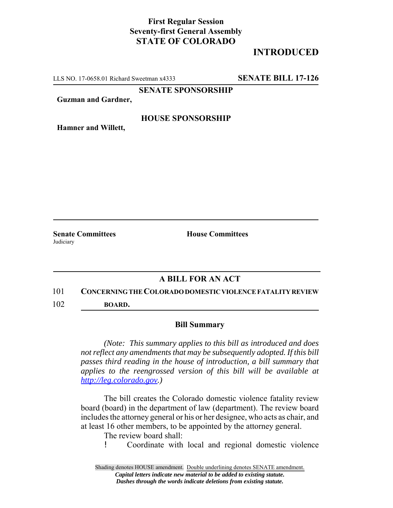## **First Regular Session Seventy-first General Assembly STATE OF COLORADO**

# **INTRODUCED**

LLS NO. 17-0658.01 Richard Sweetman x4333 **SENATE BILL 17-126**

**SENATE SPONSORSHIP**

**Guzman and Gardner,**

### **HOUSE SPONSORSHIP**

**Hamner and Willett,**

**Judiciary** 

**Senate Committees House Committees** 

## **A BILL FOR AN ACT**

#### 101 **CONCERNING THE COLORADO DOMESTIC VIOLENCE FATALITY REVIEW**

102 **BOARD.**

### **Bill Summary**

*(Note: This summary applies to this bill as introduced and does not reflect any amendments that may be subsequently adopted. If this bill passes third reading in the house of introduction, a bill summary that applies to the reengrossed version of this bill will be available at http://leg.colorado.gov.)*

The bill creates the Colorado domestic violence fatality review board (board) in the department of law (department). The review board includes the attorney general or his or her designee, who acts as chair, and at least 16 other members, to be appointed by the attorney general.

The review board shall:

! Coordinate with local and regional domestic violence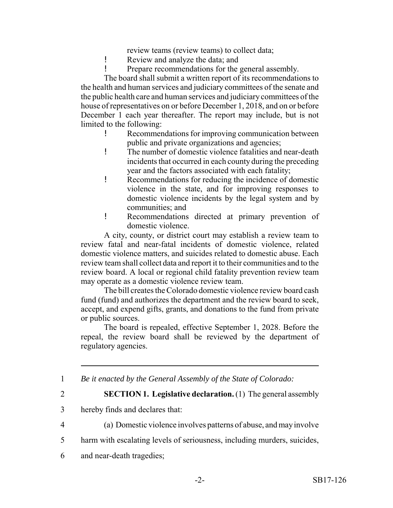review teams (review teams) to collect data;

- ! Review and analyze the data; and
- ! Prepare recommendations for the general assembly.

The board shall submit a written report of its recommendations to the health and human services and judiciary committees of the senate and the public health care and human services and judiciary committees of the house of representatives on or before December 1, 2018, and on or before December 1 each year thereafter. The report may include, but is not limited to the following:

- ! Recommendations for improving communication between public and private organizations and agencies;
- ! The number of domestic violence fatalities and near-death incidents that occurred in each county during the preceding year and the factors associated with each fatality;
- ! Recommendations for reducing the incidence of domestic violence in the state, and for improving responses to domestic violence incidents by the legal system and by communities; and
- ! Recommendations directed at primary prevention of domestic violence.

A city, county, or district court may establish a review team to review fatal and near-fatal incidents of domestic violence, related domestic violence matters, and suicides related to domestic abuse. Each review team shall collect data and report it to their communities and to the review board. A local or regional child fatality prevention review team may operate as a domestic violence review team.

The bill creates the Colorado domestic violence review board cash fund (fund) and authorizes the department and the review board to seek, accept, and expend gifts, grants, and donations to the fund from private or public sources.

The board is repealed, effective September 1, 2028. Before the repeal, the review board shall be reviewed by the department of regulatory agencies.

1 *Be it enacted by the General Assembly of the State of Colorado:*

2 **SECTION 1. Legislative declaration.** (1) The general assembly

- 3 hereby finds and declares that:
- 4 (a) Domestic violence involves patterns of abuse, and may involve
- 5 harm with escalating levels of seriousness, including murders, suicides,
- 6 and near-death tragedies;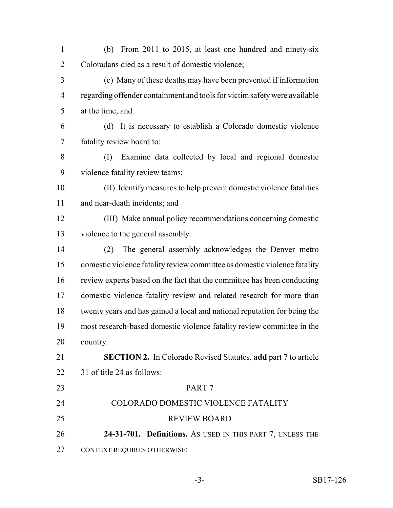- (b) From 2011 to 2015, at least one hundred and ninety-six Coloradans died as a result of domestic violence;
- (c) Many of these deaths may have been prevented if information regarding offender containment and tools for victim safety were available at the time; and
- (d) It is necessary to establish a Colorado domestic violence fatality review board to:
- (I) Examine data collected by local and regional domestic violence fatality review teams;
- (II) Identify measures to help prevent domestic violence fatalities and near-death incidents; and
- (III) Make annual policy recommendations concerning domestic violence to the general assembly.
- (2) The general assembly acknowledges the Denver metro domestic violence fatality review committee as domestic violence fatality review experts based on the fact that the committee has been conducting domestic violence fatality review and related research for more than twenty years and has gained a local and national reputation for being the most research-based domestic violence fatality review committee in the country.
- **SECTION 2.** In Colorado Revised Statutes, **add** part 7 to article 31 of title 24 as follows:
- PART 7 COLORADO DOMESTIC VIOLENCE FATALITY REVIEW BOARD **24-31-701. Definitions.** AS USED IN THIS PART 7, UNLESS THE CONTEXT REQUIRES OTHERWISE: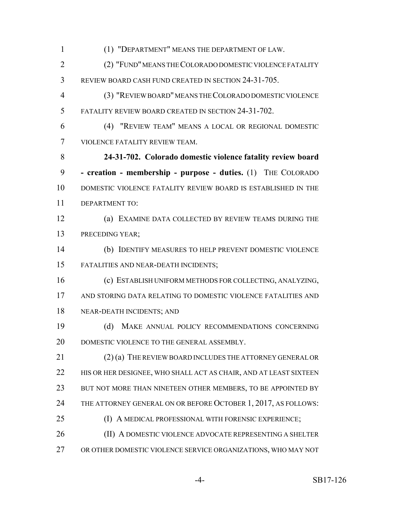(1) "DEPARTMENT" MEANS THE DEPARTMENT OF LAW. (2) "FUND" MEANS THE COLORADO DOMESTIC VIOLENCE FATALITY REVIEW BOARD CASH FUND CREATED IN SECTION 24-31-705. (3) "REVIEW BOARD" MEANS THE COLORADO DOMESTIC VIOLENCE FATALITY REVIEW BOARD CREATED IN SECTION 24-31-702. (4) "REVIEW TEAM" MEANS A LOCAL OR REGIONAL DOMESTIC VIOLENCE FATALITY REVIEW TEAM. **24-31-702. Colorado domestic violence fatality review board - creation - membership - purpose - duties.** (1) THE COLORADO DOMESTIC VIOLENCE FATALITY REVIEW BOARD IS ESTABLISHED IN THE DEPARTMENT TO: (a) EXAMINE DATA COLLECTED BY REVIEW TEAMS DURING THE PRECEDING YEAR; (b) IDENTIFY MEASURES TO HELP PREVENT DOMESTIC VIOLENCE FATALITIES AND NEAR-DEATH INCIDENTS; (c) ESTABLISH UNIFORM METHODS FOR COLLECTING, ANALYZING, AND STORING DATA RELATING TO DOMESTIC VIOLENCE FATALITIES AND NEAR-DEATH INCIDENTS; AND (d) MAKE ANNUAL POLICY RECOMMENDATIONS CONCERNING 20 DOMESTIC VIOLENCE TO THE GENERAL ASSEMBLY. (2) (a) THE REVIEW BOARD INCLUDES THE ATTORNEY GENERAL OR 22 HIS OR HER DESIGNEE, WHO SHALL ACT AS CHAIR, AND AT LEAST SIXTEEN 23 BUT NOT MORE THAN NINETEEN OTHER MEMBERS, TO BE APPOINTED BY 24 THE ATTORNEY GENERAL ON OR BEFORE OCTOBER 1, 2017, AS FOLLOWS: (I) A MEDICAL PROFESSIONAL WITH FORENSIC EXPERIENCE; (II) A DOMESTIC VIOLENCE ADVOCATE REPRESENTING A SHELTER OR OTHER DOMESTIC VIOLENCE SERVICE ORGANIZATIONS, WHO MAY NOT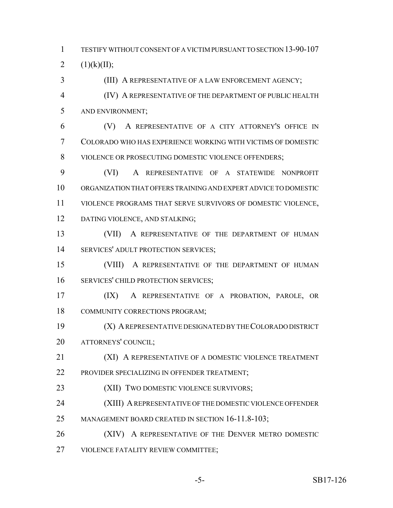TESTIFY WITHOUT CONSENT OF A VICTIM PURSUANT TO SECTION 13-90-107 2  $(1)(k)(II)$ ;

(III) A REPRESENTATIVE OF A LAW ENFORCEMENT AGENCY;

 (IV) A REPRESENTATIVE OF THE DEPARTMENT OF PUBLIC HEALTH AND ENVIRONMENT;

 (V) A REPRESENTATIVE OF A CITY ATTORNEY'S OFFICE IN COLORADO WHO HAS EXPERIENCE WORKING WITH VICTIMS OF DOMESTIC VIOLENCE OR PROSECUTING DOMESTIC VIOLENCE OFFENDERS;

 (VI) A REPRESENTATIVE OF A STATEWIDE NONPROFIT ORGANIZATION THAT OFFERS TRAINING AND EXPERT ADVICE TO DOMESTIC VIOLENCE PROGRAMS THAT SERVE SURVIVORS OF DOMESTIC VIOLENCE, DATING VIOLENCE, AND STALKING;

13 (VII) A REPRESENTATIVE OF THE DEPARTMENT OF HUMAN SERVICES' ADULT PROTECTION SERVICES;

 (VIII) A REPRESENTATIVE OF THE DEPARTMENT OF HUMAN SERVICES' CHILD PROTECTION SERVICES;

 (IX) A REPRESENTATIVE OF A PROBATION, PAROLE, OR COMMUNITY CORRECTIONS PROGRAM;

 (X) A REPRESENTATIVE DESIGNATED BY THE COLORADO DISTRICT ATTORNEYS' COUNCIL;

21 (XI) A REPRESENTATIVE OF A DOMESTIC VIOLENCE TREATMENT PROVIDER SPECIALIZING IN OFFENDER TREATMENT;

(XII) TWO DOMESTIC VIOLENCE SURVIVORS;

(XIII) A REPRESENTATIVE OF THE DOMESTIC VIOLENCE OFFENDER

25 MANAGEMENT BOARD CREATED IN SECTION 16-11.8-103;

(XIV) A REPRESENTATIVE OF THE DENVER METRO DOMESTIC

VIOLENCE FATALITY REVIEW COMMITTEE;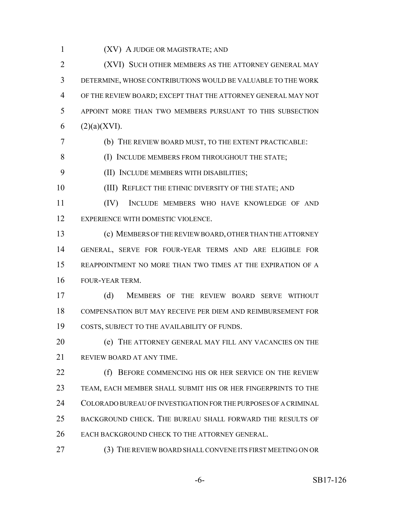(XV) A JUDGE OR MAGISTRATE; AND

 (XVI) SUCH OTHER MEMBERS AS THE ATTORNEY GENERAL MAY DETERMINE, WHOSE CONTRIBUTIONS WOULD BE VALUABLE TO THE WORK OF THE REVIEW BOARD; EXCEPT THAT THE ATTORNEY GENERAL MAY NOT APPOINT MORE THAN TWO MEMBERS PURSUANT TO THIS SUBSECTION  $(2)(a)(XVI)$ .

(b) THE REVIEW BOARD MUST, TO THE EXTENT PRACTICABLE:

8 (I) INCLUDE MEMBERS FROM THROUGHOUT THE STATE;

(II) INCLUDE MEMBERS WITH DISABILITIES;

10 (III) REFLECT THE ETHNIC DIVERSITY OF THE STATE; AND

 (IV) INCLUDE MEMBERS WHO HAVE KNOWLEDGE OF AND EXPERIENCE WITH DOMESTIC VIOLENCE.

 (c) MEMBERS OF THE REVIEW BOARD, OTHER THAN THE ATTORNEY GENERAL, SERVE FOR FOUR-YEAR TERMS AND ARE ELIGIBLE FOR REAPPOINTMENT NO MORE THAN TWO TIMES AT THE EXPIRATION OF A FOUR-YEAR TERM.

 (d) MEMBERS OF THE REVIEW BOARD SERVE WITHOUT COMPENSATION BUT MAY RECEIVE PER DIEM AND REIMBURSEMENT FOR COSTS, SUBJECT TO THE AVAILABILITY OF FUNDS.

 (e) THE ATTORNEY GENERAL MAY FILL ANY VACANCIES ON THE REVIEW BOARD AT ANY TIME.

22 (f) BEFORE COMMENCING HIS OR HER SERVICE ON THE REVIEW TEAM, EACH MEMBER SHALL SUBMIT HIS OR HER FINGERPRINTS TO THE COLORADO BUREAU OF INVESTIGATION FOR THE PURPOSES OF A CRIMINAL BACKGROUND CHECK. THE BUREAU SHALL FORWARD THE RESULTS OF EACH BACKGROUND CHECK TO THE ATTORNEY GENERAL.

(3) THE REVIEW BOARD SHALL CONVENE ITS FIRST MEETING ON OR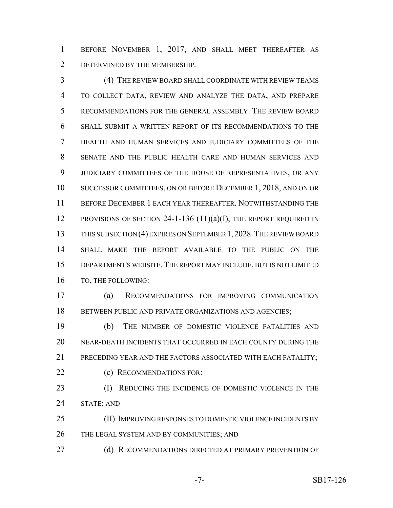BEFORE NOVEMBER 1, 2017, AND SHALL MEET THEREAFTER AS DETERMINED BY THE MEMBERSHIP.

 (4) THE REVIEW BOARD SHALL COORDINATE WITH REVIEW TEAMS TO COLLECT DATA, REVIEW AND ANALYZE THE DATA, AND PREPARE RECOMMENDATIONS FOR THE GENERAL ASSEMBLY. THE REVIEW BOARD SHALL SUBMIT A WRITTEN REPORT OF ITS RECOMMENDATIONS TO THE HEALTH AND HUMAN SERVICES AND JUDICIARY COMMITTEES OF THE SENATE AND THE PUBLIC HEALTH CARE AND HUMAN SERVICES AND JUDICIARY COMMITTEES OF THE HOUSE OF REPRESENTATIVES, OR ANY SUCCESSOR COMMITTEES, ON OR BEFORE DECEMBER 1, 2018, AND ON OR BEFORE DECEMBER 1 EACH YEAR THEREAFTER. NOTWITHSTANDING THE 12 PROVISIONS OF SECTION 24-1-136  $(11)(a)(I)$ , THE REPORT REQUIRED IN THIS SUBSECTION (4) EXPIRES ON SEPTEMBER 1,2028.THE REVIEW BOARD SHALL MAKE THE REPORT AVAILABLE TO THE PUBLIC ON THE DEPARTMENT'S WEBSITE. THE REPORT MAY INCLUDE, BUT IS NOT LIMITED TO, THE FOLLOWING:

 (a) RECOMMENDATIONS FOR IMPROVING COMMUNICATION 18 BETWEEN PUBLIC AND PRIVATE ORGANIZATIONS AND AGENCIES;

 (b) THE NUMBER OF DOMESTIC VIOLENCE FATALITIES AND NEAR-DEATH INCIDENTS THAT OCCURRED IN EACH COUNTY DURING THE PRECEDING YEAR AND THE FACTORS ASSOCIATED WITH EACH FATALITY; **(c) RECOMMENDATIONS FOR:** 

23 (I) REDUCING THE INCIDENCE OF DOMESTIC VIOLENCE IN THE STATE; AND

 (II) IMPROVING RESPONSES TO DOMESTIC VIOLENCE INCIDENTS BY 26 THE LEGAL SYSTEM AND BY COMMUNITIES; AND

27 (d) RECOMMENDATIONS DIRECTED AT PRIMARY PREVENTION OF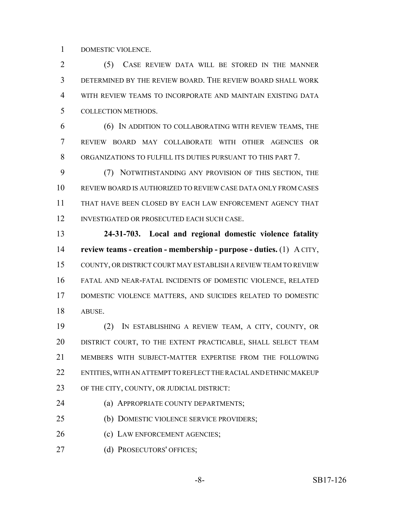DOMESTIC VIOLENCE.

 (5) CASE REVIEW DATA WILL BE STORED IN THE MANNER DETERMINED BY THE REVIEW BOARD. THE REVIEW BOARD SHALL WORK WITH REVIEW TEAMS TO INCORPORATE AND MAINTAIN EXISTING DATA COLLECTION METHODS.

 (6) IN ADDITION TO COLLABORATING WITH REVIEW TEAMS, THE REVIEW BOARD MAY COLLABORATE WITH OTHER AGENCIES OR ORGANIZATIONS TO FULFILL ITS DUTIES PURSUANT TO THIS PART 7.

 (7) NOTWITHSTANDING ANY PROVISION OF THIS SECTION, THE REVIEW BOARD IS AUTHORIZED TO REVIEW CASE DATA ONLY FROM CASES THAT HAVE BEEN CLOSED BY EACH LAW ENFORCEMENT AGENCY THAT INVESTIGATED OR PROSECUTED EACH SUCH CASE.

 **24-31-703. Local and regional domestic violence fatality review teams - creation - membership - purpose - duties.** (1) A CITY, COUNTY, OR DISTRICT COURT MAY ESTABLISH A REVIEW TEAM TO REVIEW FATAL AND NEAR-FATAL INCIDENTS OF DOMESTIC VIOLENCE, RELATED DOMESTIC VIOLENCE MATTERS, AND SUICIDES RELATED TO DOMESTIC ABUSE.

 (2) IN ESTABLISHING A REVIEW TEAM, A CITY, COUNTY, OR DISTRICT COURT, TO THE EXTENT PRACTICABLE, SHALL SELECT TEAM MEMBERS WITH SUBJECT-MATTER EXPERTISE FROM THE FOLLOWING ENTITIES, WITH AN ATTEMPT TO REFLECT THE RACIAL AND ETHNIC MAKEUP OF THE CITY, COUNTY, OR JUDICIAL DISTRICT:

**(a) APPROPRIATE COUNTY DEPARTMENTS;** 

(b) DOMESTIC VIOLENCE SERVICE PROVIDERS;

(c) LAW ENFORCEMENT AGENCIES;

(d) PROSECUTORS' OFFICES;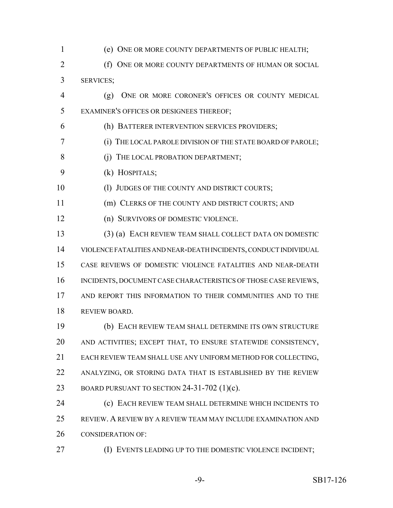(e) ONE OR MORE COUNTY DEPARTMENTS OF PUBLIC HEALTH; **(f) ONE OR MORE COUNTY DEPARTMENTS OF HUMAN OR SOCIAL**  SERVICES; (g) ONE OR MORE CORONER'S OFFICES OR COUNTY MEDICAL EXAMINER'S OFFICES OR DESIGNEES THEREOF; (h) BATTERER INTERVENTION SERVICES PROVIDERS; (i) THE LOCAL PAROLE DIVISION OF THE STATE BOARD OF PAROLE; 8 (j) THE LOCAL PROBATION DEPARTMENT; (k) HOSPITALS; 10 (1) JUDGES OF THE COUNTY AND DISTRICT COURTS; (m) CLERKS OF THE COUNTY AND DISTRICT COURTS; AND (n) SURVIVORS OF DOMESTIC VIOLENCE. (3) (a) EACH REVIEW TEAM SHALL COLLECT DATA ON DOMESTIC VIOLENCE FATALITIES AND NEAR-DEATH INCIDENTS, CONDUCT INDIVIDUAL CASE REVIEWS OF DOMESTIC VIOLENCE FATALITIES AND NEAR-DEATH 16 INCIDENTS, DOCUMENT CASE CHARACTERISTICS OF THOSE CASE REVIEWS, AND REPORT THIS INFORMATION TO THEIR COMMUNITIES AND TO THE REVIEW BOARD. (b) EACH REVIEW TEAM SHALL DETERMINE ITS OWN STRUCTURE AND ACTIVITIES; EXCEPT THAT, TO ENSURE STATEWIDE CONSISTENCY, EACH REVIEW TEAM SHALL USE ANY UNIFORM METHOD FOR COLLECTING, ANALYZING, OR STORING DATA THAT IS ESTABLISHED BY THE REVIEW BOARD PURSUANT TO SECTION 24-31-702 (1)(c). (c) EACH REVIEW TEAM SHALL DETERMINE WHICH INCIDENTS TO REVIEW. A REVIEW BY A REVIEW TEAM MAY INCLUDE EXAMINATION AND CONSIDERATION OF: **(I) EVENTS LEADING UP TO THE DOMESTIC VIOLENCE INCIDENT;**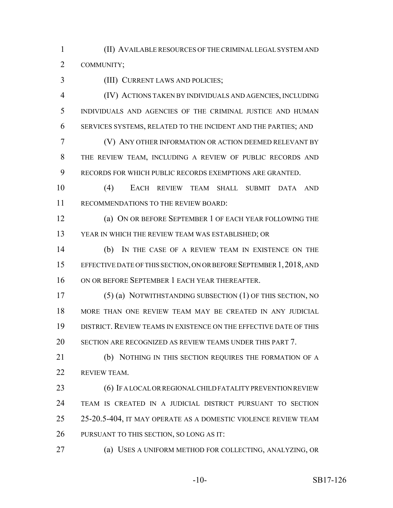(II) AVAILABLE RESOURCES OF THE CRIMINAL LEGAL SYSTEM AND COMMUNITY;

(III) CURRENT LAWS AND POLICIES;

 (IV) ACTIONS TAKEN BY INDIVIDUALS AND AGENCIES, INCLUDING INDIVIDUALS AND AGENCIES OF THE CRIMINAL JUSTICE AND HUMAN SERVICES SYSTEMS, RELATED TO THE INCIDENT AND THE PARTIES; AND

 (V) ANY OTHER INFORMATION OR ACTION DEEMED RELEVANT BY THE REVIEW TEAM, INCLUDING A REVIEW OF PUBLIC RECORDS AND RECORDS FOR WHICH PUBLIC RECORDS EXEMPTIONS ARE GRANTED.

 (4) EACH REVIEW TEAM SHALL SUBMIT DATA AND RECOMMENDATIONS TO THE REVIEW BOARD:

 (a) ON OR BEFORE SEPTEMBER 1 OF EACH YEAR FOLLOWING THE YEAR IN WHICH THE REVIEW TEAM WAS ESTABLISHED; OR

 (b) IN THE CASE OF A REVIEW TEAM IN EXISTENCE ON THE EFFECTIVE DATE OF THIS SECTION, ON OR BEFORE SEPTEMBER 1,2018, AND ON OR BEFORE SEPTEMBER 1 EACH YEAR THEREAFTER.

 (5) (a) NOTWITHSTANDING SUBSECTION (1) OF THIS SECTION, NO MORE THAN ONE REVIEW TEAM MAY BE CREATED IN ANY JUDICIAL DISTRICT. REVIEW TEAMS IN EXISTENCE ON THE EFFECTIVE DATE OF THIS SECTION ARE RECOGNIZED AS REVIEW TEAMS UNDER THIS PART 7.

 (b) NOTHING IN THIS SECTION REQUIRES THE FORMATION OF A REVIEW TEAM.

**(6) IF A LOCAL OR REGIONAL CHILD FATALITY PREVENTION REVIEW**  TEAM IS CREATED IN A JUDICIAL DISTRICT PURSUANT TO SECTION 25-20.5-404, IT MAY OPERATE AS A DOMESTIC VIOLENCE REVIEW TEAM PURSUANT TO THIS SECTION, SO LONG AS IT:

(a) USES A UNIFORM METHOD FOR COLLECTING, ANALYZING, OR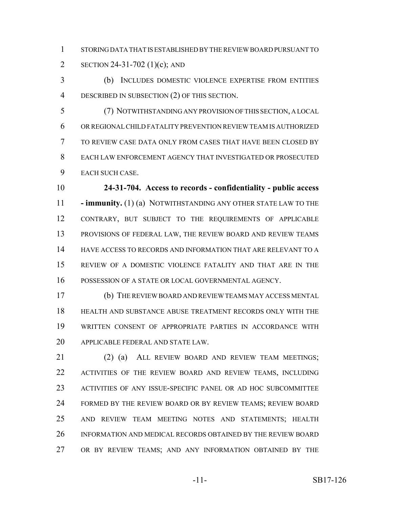STORING DATA THAT IS ESTABLISHED BY THE REVIEW BOARD PURSUANT TO SECTION 24-31-702 (1)(c); AND

 (b) INCLUDES DOMESTIC VIOLENCE EXPERTISE FROM ENTITIES DESCRIBED IN SUBSECTION (2) OF THIS SECTION.

 (7) NOTWITHSTANDING ANY PROVISION OF THIS SECTION, A LOCAL OR REGIONAL CHILD FATALITY PREVENTION REVIEW TEAM IS AUTHORIZED TO REVIEW CASE DATA ONLY FROM CASES THAT HAVE BEEN CLOSED BY EACH LAW ENFORCEMENT AGENCY THAT INVESTIGATED OR PROSECUTED EACH SUCH CASE.

 **24-31-704. Access to records - confidentiality - public access - immunity.** (1) (a) NOTWITHSTANDING ANY OTHER STATE LAW TO THE CONTRARY, BUT SUBJECT TO THE REQUIREMENTS OF APPLICABLE PROVISIONS OF FEDERAL LAW, THE REVIEW BOARD AND REVIEW TEAMS HAVE ACCESS TO RECORDS AND INFORMATION THAT ARE RELEVANT TO A REVIEW OF A DOMESTIC VIOLENCE FATALITY AND THAT ARE IN THE POSSESSION OF A STATE OR LOCAL GOVERNMENTAL AGENCY.

 (b) THE REVIEW BOARD AND REVIEW TEAMS MAY ACCESS MENTAL HEALTH AND SUBSTANCE ABUSE TREATMENT RECORDS ONLY WITH THE WRITTEN CONSENT OF APPROPRIATE PARTIES IN ACCORDANCE WITH APPLICABLE FEDERAL AND STATE LAW.

 (2) (a) ALL REVIEW BOARD AND REVIEW TEAM MEETINGS; ACTIVITIES OF THE REVIEW BOARD AND REVIEW TEAMS, INCLUDING ACTIVITIES OF ANY ISSUE-SPECIFIC PANEL OR AD HOC SUBCOMMITTEE 24 FORMED BY THE REVIEW BOARD OR BY REVIEW TEAMS; REVIEW BOARD AND REVIEW TEAM MEETING NOTES AND STATEMENTS; HEALTH INFORMATION AND MEDICAL RECORDS OBTAINED BY THE REVIEW BOARD OR BY REVIEW TEAMS; AND ANY INFORMATION OBTAINED BY THE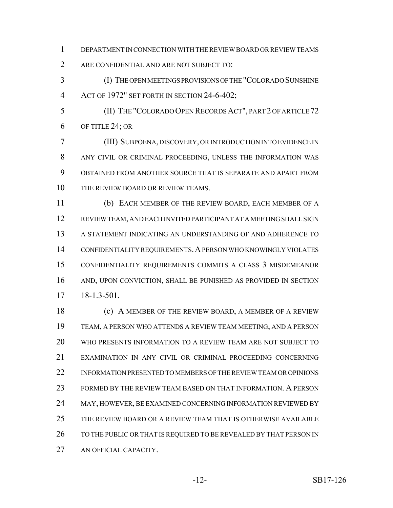- DEPARTMENT IN CONNECTION WITH THE REVIEW BOARD OR REVIEW TEAMS
- ARE CONFIDENTIAL AND ARE NOT SUBJECT TO:
- (I) THE OPEN MEETINGS PROVISIONS OF THE "COLORADO SUNSHINE ACT OF 1972" SET FORTH IN SECTION 24-6-402;
- (II) THE "COLORADO OPEN RECORDS ACT", PART 2 OF ARTICLE 72 OF TITLE 24; OR
- (III) SUBPOENA, DISCOVERY, OR INTRODUCTION INTO EVIDENCE IN ANY CIVIL OR CRIMINAL PROCEEDING, UNLESS THE INFORMATION WAS OBTAINED FROM ANOTHER SOURCE THAT IS SEPARATE AND APART FROM 10 THE REVIEW BOARD OR REVIEW TEAMS.
- (b) EACH MEMBER OF THE REVIEW BOARD, EACH MEMBER OF A REVIEW TEAM, AND EACH INVITED PARTICIPANT AT A MEETING SHALL SIGN A STATEMENT INDICATING AN UNDERSTANDING OF AND ADHERENCE TO CONFIDENTIALITY REQUIREMENTS.A PERSON WHO KNOWINGLY VIOLATES CONFIDENTIALITY REQUIREMENTS COMMITS A CLASS 3 MISDEMEANOR AND, UPON CONVICTION, SHALL BE PUNISHED AS PROVIDED IN SECTION 18-1.3-501.
- (c) A MEMBER OF THE REVIEW BOARD, A MEMBER OF A REVIEW TEAM, A PERSON WHO ATTENDS A REVIEW TEAM MEETING, AND A PERSON WHO PRESENTS INFORMATION TO A REVIEW TEAM ARE NOT SUBJECT TO EXAMINATION IN ANY CIVIL OR CRIMINAL PROCEEDING CONCERNING INFORMATION PRESENTED TO MEMBERS OF THE REVIEW TEAM OR OPINIONS FORMED BY THE REVIEW TEAM BASED ON THAT INFORMATION. A PERSON 24 MAY, HOWEVER, BE EXAMINED CONCERNING INFORMATION REVIEWED BY THE REVIEW BOARD OR A REVIEW TEAM THAT IS OTHERWISE AVAILABLE 26 TO THE PUBLIC OR THAT IS REQUIRED TO BE REVEALED BY THAT PERSON IN AN OFFICIAL CAPACITY.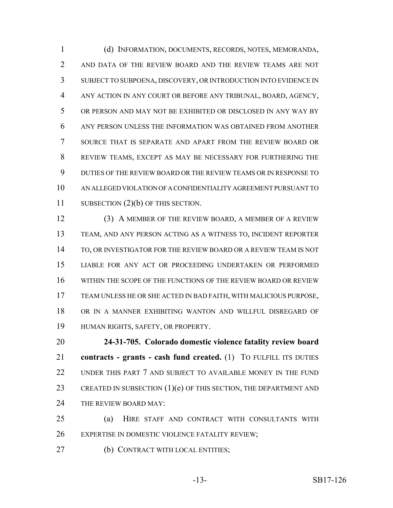(d) INFORMATION, DOCUMENTS, RECORDS, NOTES, MEMORANDA, AND DATA OF THE REVIEW BOARD AND THE REVIEW TEAMS ARE NOT SUBJECT TO SUBPOENA, DISCOVERY, OR INTRODUCTION INTO EVIDENCE IN ANY ACTION IN ANY COURT OR BEFORE ANY TRIBUNAL, BOARD, AGENCY, OR PERSON AND MAY NOT BE EXHIBITED OR DISCLOSED IN ANY WAY BY ANY PERSON UNLESS THE INFORMATION WAS OBTAINED FROM ANOTHER SOURCE THAT IS SEPARATE AND APART FROM THE REVIEW BOARD OR REVIEW TEAMS, EXCEPT AS MAY BE NECESSARY FOR FURTHERING THE DUTIES OF THE REVIEW BOARD OR THE REVIEW TEAMS OR IN RESPONSE TO AN ALLEGED VIOLATION OF A CONFIDENTIALITY AGREEMENT PURSUANT TO 11 SUBSECTION (2)(b) OF THIS SECTION.

 (3) A MEMBER OF THE REVIEW BOARD, A MEMBER OF A REVIEW TEAM, AND ANY PERSON ACTING AS A WITNESS TO, INCIDENT REPORTER TO, OR INVESTIGATOR FOR THE REVIEW BOARD OR A REVIEW TEAM IS NOT LIABLE FOR ANY ACT OR PROCEEDING UNDERTAKEN OR PERFORMED WITHIN THE SCOPE OF THE FUNCTIONS OF THE REVIEW BOARD OR REVIEW TEAM UNLESS HE OR SHE ACTED IN BAD FAITH, WITH MALICIOUS PURPOSE, OR IN A MANNER EXHIBITING WANTON AND WILLFUL DISREGARD OF HUMAN RIGHTS, SAFETY, OR PROPERTY.

 **24-31-705. Colorado domestic violence fatality review board contracts - grants - cash fund created.** (1) TO FULFILL ITS DUTIES 22 UNDER THIS PART 7 AND SUBJECT TO AVAILABLE MONEY IN THE FUND 23 CREATED IN SUBSECTION  $(1)(e)$  OF THIS SECTION, THE DEPARTMENT AND 24 THE REVIEW BOARD MAY:

 (a) HIRE STAFF AND CONTRACT WITH CONSULTANTS WITH EXPERTISE IN DOMESTIC VIOLENCE FATALITY REVIEW;

27 (b) CONTRACT WITH LOCAL ENTITIES;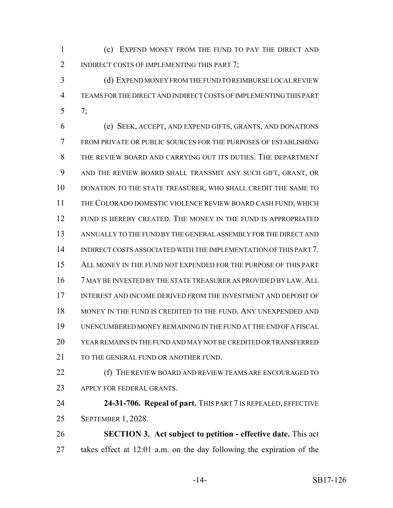(c) EXPEND MONEY FROM THE FUND TO PAY THE DIRECT AND 2 INDIRECT COSTS OF IMPLEMENTING THIS PART 7;

 (d) EXPEND MONEY FROM THE FUND TO REIMBURSE LOCAL REVIEW TEAMS FOR THE DIRECT AND INDIRECT COSTS OF IMPLEMENTING THIS PART 7;

 (e) SEEK, ACCEPT, AND EXPEND GIFTS, GRANTS, AND DONATIONS FROM PRIVATE OR PUBLIC SOURCES FOR THE PURPOSES OF ESTABLISHING THE REVIEW BOARD AND CARRYING OUT ITS DUTIES. THE DEPARTMENT AND THE REVIEW BOARD SHALL TRANSMIT ANY SUCH GIFT, GRANT, OR DONATION TO THE STATE TREASURER, WHO SHALL CREDIT THE SAME TO THE COLORADO DOMESTIC VIOLENCE REVIEW BOARD CASH FUND, WHICH FUND IS HEREBY CREATED. THE MONEY IN THE FUND IS APPROPRIATED ANNUALLY TO THE FUND BY THE GENERAL ASSEMBLY FOR THE DIRECT AND INDIRECT COSTS ASSOCIATED WITH THE IMPLEMENTATION OF THIS PART 7. ALL MONEY IN THE FUND NOT EXPENDED FOR THE PURPOSE OF THIS PART 7 MAY BE INVESTED BY THE STATE TREASURER AS PROVIDED BY LAW.ALL INTEREST AND INCOME DERIVED FROM THE INVESTMENT AND DEPOSIT OF MONEY IN THE FUND IS CREDITED TO THE FUND. ANY UNEXPENDED AND UNENCUMBERED MONEY REMAINING IN THE FUND AT THE END OF A FISCAL YEAR REMAINS IN THE FUND AND MAY NOT BE CREDITED OR TRANSFERRED 21 TO THE GENERAL FUND OR ANOTHER FUND.

 (f) THE REVIEW BOARD AND REVIEW TEAMS ARE ENCOURAGED TO APPLY FOR FEDERAL GRANTS.

 **24-31-706. Repeal of part.** THIS PART 7 IS REPEALED, EFFECTIVE SEPTEMBER 1, 2028.

 **SECTION 3. Act subject to petition - effective date.** This act takes effect at 12:01 a.m. on the day following the expiration of the